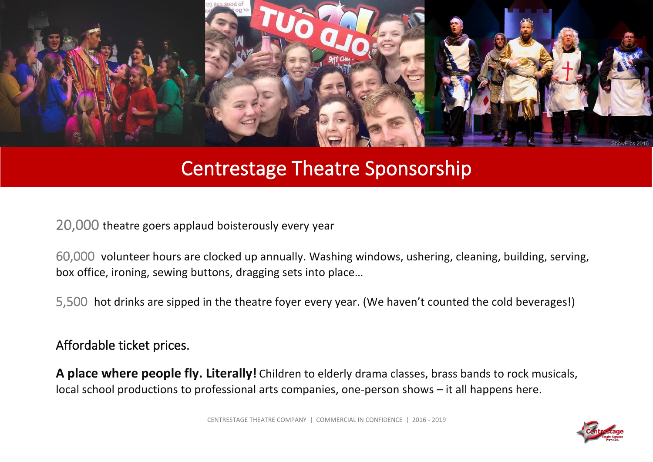

# Centrestage Theatre Sponsorship

20,000 theatre goers applaud boisterously every year

60,000 volunteer hours are clocked up annually. Washing windows, ushering, cleaning, building, serving, box office, ironing, sewing buttons, dragging sets into place…

5,500 hot drinks are sipped in the theatre foyer every year. (We haven't counted the cold beverages!)

Affordable ticket prices.

**A place where people fly. Literally!** Children to elderly drama classes, brass bands to rock musicals, local school productions to professional arts companies, one-person shows – it all happens here.

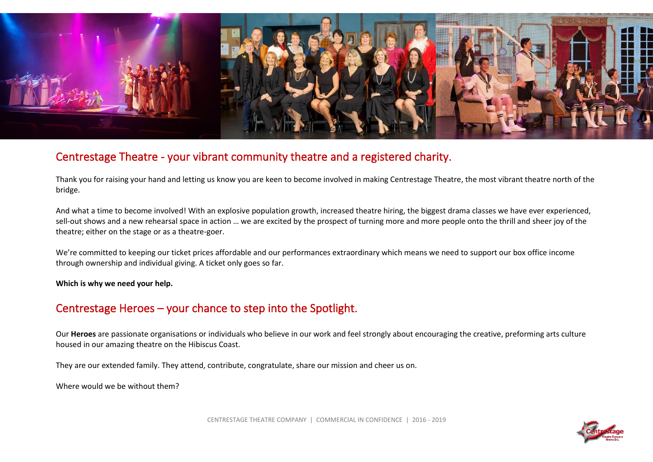

## Centrestage Theatre - your vibrant community theatre and a registered charity.

Thank you for raising your hand and letting us know you are keen to become involved in making Centrestage Theatre, the most vibrant theatre north of the bridge.

And what a time to become involved! With an explosive population growth, increased theatre hiring, the biggest drama classes we have ever experienced, sell-out shows and a new rehearsal space in action … we are excited by the prospect of turning more and more people onto the thrill and sheer joy of the theatre; either on the stage or as a theatre-goer.

We're committed to keeping our ticket prices affordable and our performances extraordinary which means we need to support our box office income through ownership and individual giving. A ticket only goes so far.

**Which is why we need your help.** 

## Centrestage Heroes – your chance to step into the Spotlight.

Our **Heroes** are passionate organisations or individuals who believe in our work and feel strongly about encouraging the creative, preforming arts culture housed in our amazing theatre on the Hibiscus Coast.

They are our extended family. They attend, contribute, congratulate, share our mission and cheer us on.

Where would we be without them?

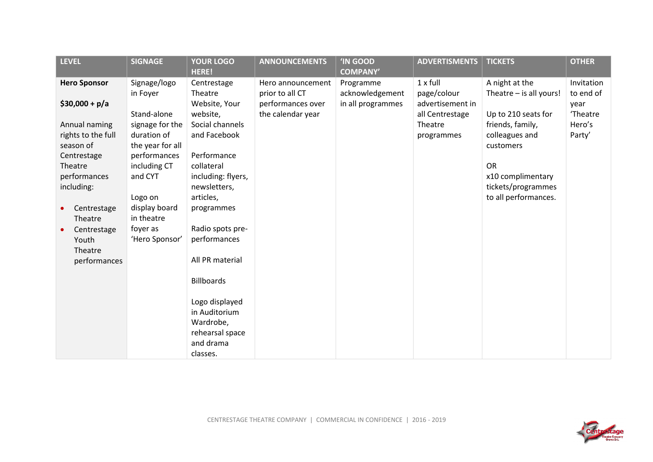| <b>LEVEL</b>            | <b>SIGNAGE</b>               | <b>YOUR LOGO</b><br><b>HERE!</b> | <b>ANNOUNCEMENTS</b>                 | <b>'IN GOOD</b><br><b>COMPANY'</b>   | <b>ADVERTISMENTS</b>            | <b>TICKETS</b>          | <b>OTHER</b>      |
|-------------------------|------------------------------|----------------------------------|--------------------------------------|--------------------------------------|---------------------------------|-------------------------|-------------------|
| <b>Hero Sponsor</b>     | Signage/logo                 | Centrestage                      | Hero announcement                    | Programme                            | $1 \times$ full                 | A night at the          | Invitation        |
| $$30,000 + p/a$         | in Foyer                     | Theatre<br>Website, Your         | prior to all CT<br>performances over | acknowledgement<br>in all programmes | page/colour<br>advertisement in | Theatre - is all yours! | to end of<br>year |
|                         | Stand-alone                  | website,                         | the calendar year                    |                                      | all Centrestage                 | Up to 210 seats for     | 'Theatre          |
| Annual naming           | signage for the              | Social channels                  |                                      |                                      | Theatre                         | friends, family,        | Hero's            |
| rights to the full      | duration of                  | and Facebook                     |                                      |                                      | programmes                      | colleagues and          | Party'            |
| season of               | the year for all             |                                  |                                      |                                      |                                 | customers               |                   |
| Centrestage<br>Theatre  | performances<br>including CT | Performance<br>collateral        |                                      |                                      |                                 | <b>OR</b>               |                   |
| performances            | and CYT                      | including: flyers,               |                                      |                                      |                                 | x10 complimentary       |                   |
| including:              |                              | newsletters,                     |                                      |                                      |                                 | tickets/programmes      |                   |
|                         | Logo on                      | articles,                        |                                      |                                      |                                 | to all performances.    |                   |
| Centrestage             | display board                | programmes                       |                                      |                                      |                                 |                         |                   |
| Theatre                 | in theatre                   |                                  |                                      |                                      |                                 |                         |                   |
| Centrestage             | foyer as                     | Radio spots pre-                 |                                      |                                      |                                 |                         |                   |
| Youth                   | 'Hero Sponsor'               | performances                     |                                      |                                      |                                 |                         |                   |
| Theatre<br>performances |                              | All PR material                  |                                      |                                      |                                 |                         |                   |
|                         |                              |                                  |                                      |                                      |                                 |                         |                   |
|                         |                              | <b>Billboards</b>                |                                      |                                      |                                 |                         |                   |
|                         |                              |                                  |                                      |                                      |                                 |                         |                   |
|                         |                              | Logo displayed                   |                                      |                                      |                                 |                         |                   |
|                         |                              | in Auditorium<br>Wardrobe,       |                                      |                                      |                                 |                         |                   |
|                         |                              | rehearsal space                  |                                      |                                      |                                 |                         |                   |
|                         |                              | and drama                        |                                      |                                      |                                 |                         |                   |
|                         |                              | classes.                         |                                      |                                      |                                 |                         |                   |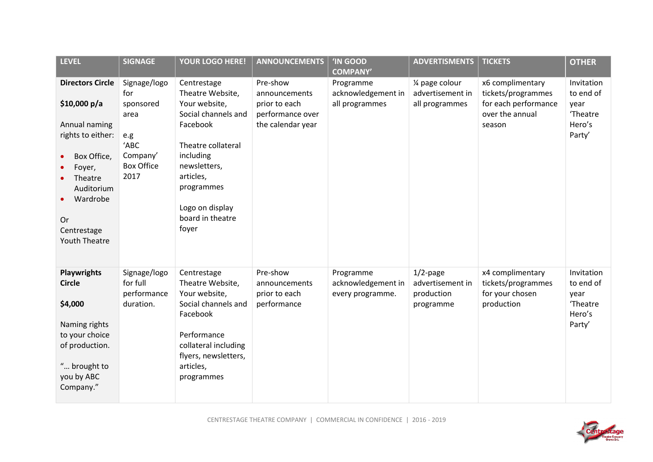| <b>LEVEL</b>                                                                                                                                                                                      | <b>SIGNAGE</b>                                                                                   | YOUR LOGO HERE!                                                                                                                                                                                                   | <b>ANNOUNCEMENTS</b>                                                                | <b>'IN GOOD</b><br><b>COMPANY'</b>                  | <b>ADVERTISMENTS</b>                                       | <b>TICKETS</b>                                                                              | <b>OTHER</b>                                                    |
|---------------------------------------------------------------------------------------------------------------------------------------------------------------------------------------------------|--------------------------------------------------------------------------------------------------|-------------------------------------------------------------------------------------------------------------------------------------------------------------------------------------------------------------------|-------------------------------------------------------------------------------------|-----------------------------------------------------|------------------------------------------------------------|---------------------------------------------------------------------------------------------|-----------------------------------------------------------------|
| <b>Directors Circle</b><br>\$10,000 $p/a$<br>Annual naming<br>rights to either:<br>Box Office,<br>Foyer,<br>Theatre<br>Auditorium<br>Wardrobe<br><b>Or</b><br>Centrestage<br><b>Youth Theatre</b> | Signage/logo<br>for<br>sponsored<br>area<br>e.g<br>'ABC<br>Company'<br><b>Box Office</b><br>2017 | Centrestage<br>Theatre Website,<br>Your website,<br>Social channels and<br>Facebook<br>Theatre collateral<br>including<br>newsletters,<br>articles,<br>programmes<br>Logo on display<br>board in theatre<br>foyer | Pre-show<br>announcements<br>prior to each<br>performance over<br>the calendar year | Programme<br>acknowledgement in<br>all programmes   | 1/4 page colour<br>advertisement in<br>all programmes      | x6 complimentary<br>tickets/programmes<br>for each performance<br>over the annual<br>season | Invitation<br>to end of<br>year<br>'Theatre<br>Hero's<br>Party' |
| <b>Playwrights</b><br><b>Circle</b><br>\$4,000<br>Naming rights<br>to your choice<br>of production.<br>" brought to<br>you by ABC<br>Company."                                                    | Signage/logo<br>for full<br>performance<br>duration.                                             | Centrestage<br>Theatre Website,<br>Your website,<br>Social channels and<br>Facebook<br>Performance<br>collateral including<br>flyers, newsletters,<br>articles,<br>programmes                                     | Pre-show<br>announcements<br>prior to each<br>performance                           | Programme<br>acknowledgement in<br>every programme. | $1/2$ -page<br>advertisement in<br>production<br>programme | x4 complimentary<br>tickets/programmes<br>for your chosen<br>production                     | Invitation<br>to end of<br>year<br>'Theatre<br>Hero's<br>Party' |

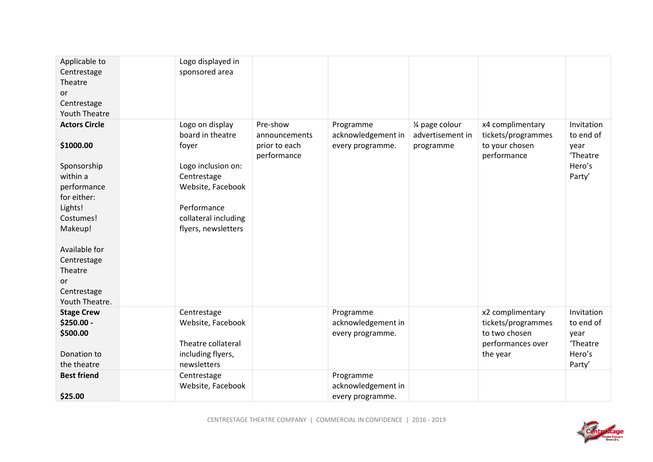| Applicable to<br>Centrestage<br>Theatre<br>or<br>Centrestage<br><b>Youth Theatre</b>                                                                                                                            | Logo displayed in<br>sponsored area                                                                                                                                  |                                                           |                                                     |                                                  |                                                                                          |                                                                 |
|-----------------------------------------------------------------------------------------------------------------------------------------------------------------------------------------------------------------|----------------------------------------------------------------------------------------------------------------------------------------------------------------------|-----------------------------------------------------------|-----------------------------------------------------|--------------------------------------------------|------------------------------------------------------------------------------------------|-----------------------------------------------------------------|
| <b>Actors Circle</b><br>\$1000.00<br>Sponsorship<br>within a<br>performance<br>for either:<br>Lights!<br>Costumes!<br>Makeup!<br>Available for<br>Centrestage<br>Theatre<br>or<br>Centrestage<br>Youth Theatre. | Logo on display<br>board in theatre<br>foyer<br>Logo inclusion on:<br>Centrestage<br>Website, Facebook<br>Performance<br>collateral including<br>flyers, newsletters | Pre-show<br>announcements<br>prior to each<br>performance | Programme<br>acknowledgement in<br>every programme. | 1⁄4 page colour<br>advertisement in<br>programme | x4 complimentary<br>tickets/programmes<br>to your chosen<br>performance                  | Invitation<br>to end of<br>year<br>'Theatre<br>Hero's<br>Party' |
| <b>Stage Crew</b><br>\$250.00 -<br>\$500.00<br>Donation to<br>the theatre                                                                                                                                       | Centrestage<br>Website, Facebook<br>Theatre collateral<br>including flyers,<br>newsletters                                                                           |                                                           | Programme<br>acknowledgement in<br>every programme. |                                                  | x2 complimentary<br>tickets/programmes<br>to two chosen<br>performances over<br>the year | Invitation<br>to end of<br>year<br>'Theatre<br>Hero's<br>Party' |
| <b>Best friend</b><br>\$25.00                                                                                                                                                                                   | Centrestage<br>Website, Facebook                                                                                                                                     |                                                           | Programme<br>acknowledgement in<br>every programme. |                                                  |                                                                                          |                                                                 |

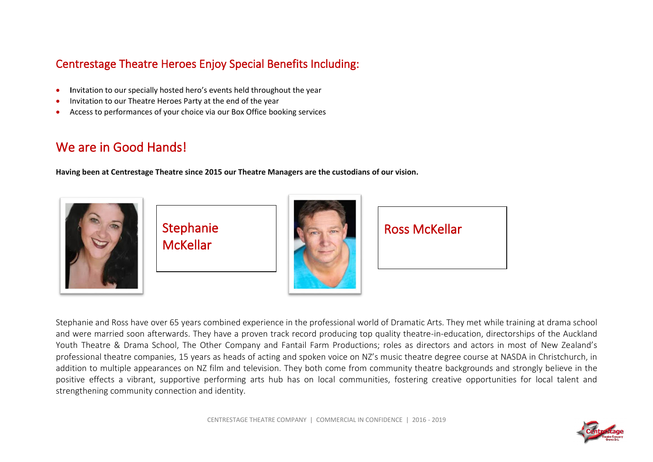## Centrestage Theatre Heroes Enjoy Special Benefits Including:

- **I**nvitation to our specially hosted hero's events held throughout the year
- Invitation to our Theatre Heroes Party at the end of the year
- Access to performances of your choice via our Box Office booking services

# We are in Good Hands!

**Having been at Centrestage Theatre since 2015 our Theatre Managers are the custodians of our vision.** 



Stephanie McKellar



Ross McKellar

Stephanie and Ross have over 65 years combined experience in the professional world of Dramatic Arts. They met while training at drama school and were married soon afterwards. They have a proven track record producing top quality theatre-in-education, directorships of the Auckland Youth Theatre & Drama School, The Other Company and Fantail Farm Productions; roles as directors and actors in most of New Zealand's professional theatre companies, 15 years as heads of acting and spoken voice on NZ's music theatre degree course at NASDA in Christchurch, in addition to multiple appearances on NZ film and television. They both come from community theatre backgrounds and strongly believe in the positive effects a vibrant, supportive performing arts hub has on local communities, fostering creative opportunities for local talent and strengthening community connection and identity.

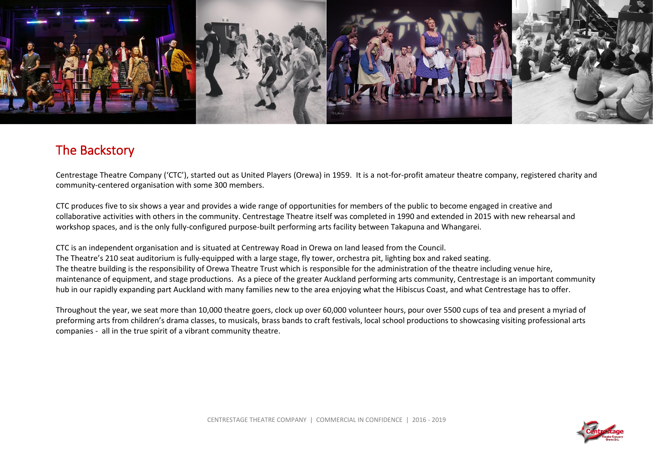

# The Backstory

Centrestage Theatre Company ('CTC'), started out as United Players (Orewa) in 1959. It is a not-for-profit amateur theatre company, registered charity and community-centered organisation with some 300 members.

CTC produces five to six shows a year and provides a wide range of opportunities for members of the public to become engaged in creative and collaborative activities with others in the community. Centrestage Theatre itself was completed in 1990 and extended in 2015 with new rehearsal and workshop spaces, and is the only fully-configured purpose-built performing arts facility between Takapuna and Whangarei.

CTC is an independent organisation and is situated at Centreway Road in Orewa on land leased from the Council. The Theatre's 210 seat auditorium is fully-equipped with a large stage, fly tower, orchestra pit, lighting box and raked seating. The theatre building is the responsibility of Orewa Theatre Trust which is responsible for the administration of the theatre including venue hire, maintenance of equipment, and stage productions. As a piece of the greater Auckland performing arts community, Centrestage is an important community hub in our rapidly expanding part Auckland with many families new to the area enjoying what the Hibiscus Coast, and what Centrestage has to offer.

Throughout the year, we seat more than 10,000 theatre goers, clock up over 60,000 volunteer hours, pour over 5500 cups of tea and present a myriad of preforming arts from children's drama classes, to musicals, brass bands to craft festivals, local school productions to showcasing visiting professional arts companies - all in the true spirit of a vibrant community theatre.

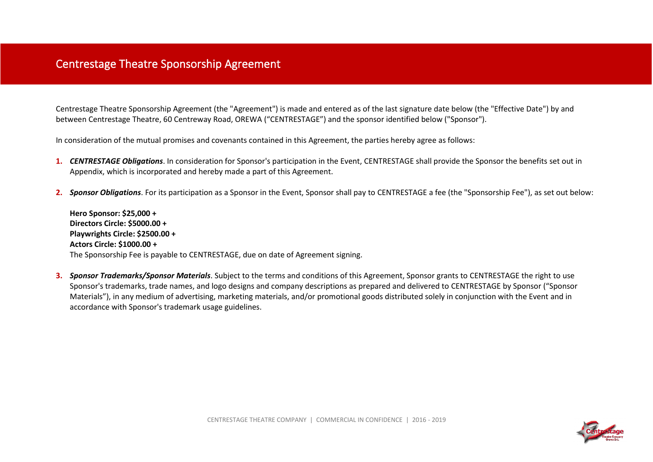## Centrestage Theatre Sponsorship Agreement

Centrestage Theatre Sponsorship Agreement (the "Agreement") is made and entered as of the last signature date below (the "Effective Date") by and between Centrestage Theatre, 60 Centreway Road, OREWA ("CENTRESTAGE") and the sponsor identified below ("Sponsor").

In consideration of the mutual promises and covenants contained in this Agreement, the parties hereby agree as follows:

- **1.** *CENTRESTAGE Obligations*. In consideration for Sponsor's participation in the Event, CENTRESTAGE shall provide the Sponsor the benefits set out in Appendix, which is incorporated and hereby made a part of this Agreement.
- **2.** *Sponsor Obligations*. For its participation as a Sponsor in the Event, Sponsor shall pay to CENTRESTAGE a fee (the "Sponsorship Fee"), as set out below:

**Hero Sponsor: \$25,000 + Directors Circle: \$5000.00 + Playwrights Circle: \$2500.00 + Actors Circle: \$1000.00 +** The Sponsorship Fee is payable to CENTRESTAGE, due on date of Agreement signing.

**3.** *Sponsor Trademarks/Sponsor Materials*. Subject to the terms and conditions of this Agreement, Sponsor grants to CENTRESTAGE the right to use Sponsor's trademarks, trade names, and logo designs and company descriptions as prepared and delivered to CENTRESTAGE by Sponsor ("Sponsor Materials"), in any medium of advertising, marketing materials, and/or promotional goods distributed solely in conjunction with the Event and in accordance with Sponsor's trademark usage guidelines.

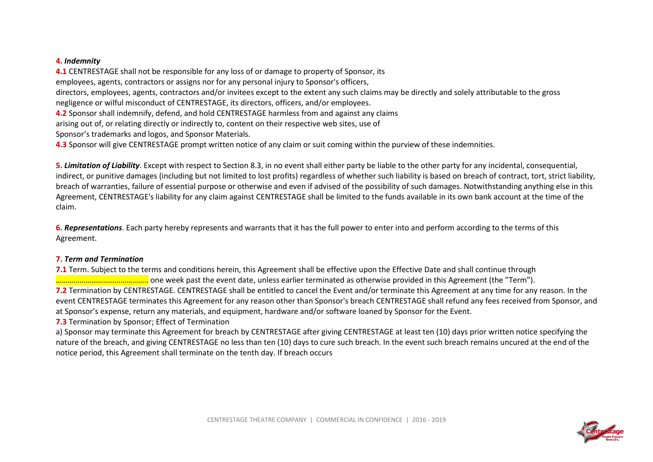#### **4.** *Indemnity*

**4.1** CENTRESTAGE shall not be responsible for any loss of or damage to property of Sponsor, its employees, agents, contractors or assigns nor for any personal injury to Sponsor's officers, directors, employees, agents, contractors and/or invitees except to the extent any such claims may be directly and solely attributable to the gross negligence or wilful misconduct of CENTRESTAGE, its directors, officers, and/or employees.

**4.2** Sponsor shall indemnify, defend, and hold CENTRESTAGE harmless from and against any claims

arising out of, or relating directly or indirectly to, content on their respective web sites, use of

Sponsor's trademarks and logos, and Sponsor Materials.

**4.3** Sponsor will give CENTRESTAGE prompt written notice of any claim or suit coming within the purview of these indemnities.

**5.** *Limitation of Liability*. Except with respect to Section 8.3, in no event shall either party be liable to the other party for any incidental, consequential, indirect, or punitive damages (including but not limited to lost profits) regardless of whether such liability is based on breach of contract, tort, strict liability, breach of warranties, failure of essential purpose or otherwise and even if advised of the possibility of such damages. Notwithstanding anything else in this Agreement, CENTRESTAGE's liability for any claim against CENTRESTAGE shall be limited to the funds available in its own bank account at the time of the claim.

**6.** *Representations*. Each party hereby represents and warrants that it has the full power to enter into and perform according to the terms of this Agreement.

#### **7.** *Term and Termination*

**7.1** Term. Subject to the terms and conditions herein, this Agreement shall be effective upon the Effective Date and shall continue through ……………………………………….. one week past the event date, unless earlier terminated as otherwise provided in this Agreement (the "Term"). **7.2** Termination by CENTRESTAGE. CENTRESTAGE shall be entitled to cancel the Event and/or terminate this Agreement at any time for any reason. In the event CENTRESTAGE terminates this Agreement for any reason other than Sponsor's breach CENTRESTAGE shall refund any fees received from Sponsor, and at Sponsor's expense, return any materials, and equipment, hardware and/or software loaned by Sponsor for the Event.

**7.3** Termination by Sponsor; Effect of Termination

a) Sponsor may terminate this Agreement for breach by CENTRESTAGE after giving CENTRESTAGE at least ten (10) days prior written notice specifying the nature of the breach, and giving CENTRESTAGE no less than ten (10) days to cure such breach. In the event such breach remains uncured at the end of the notice period, this Agreement shall terminate on the tenth day. If breach occurs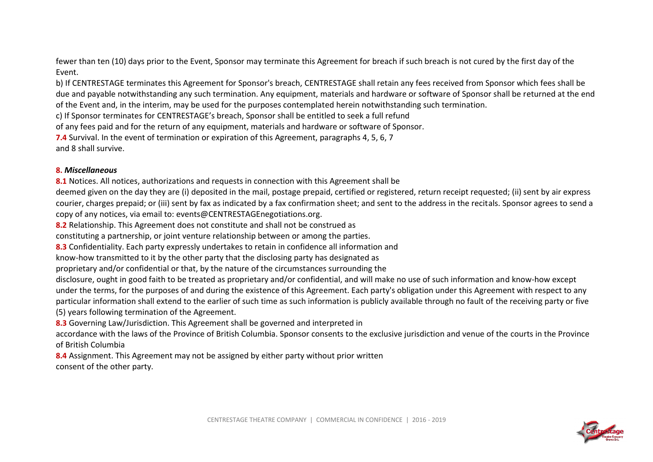fewer than ten (10) days prior to the Event, Sponsor may terminate this Agreement for breach if such breach is not cured by the first day of the Event.

b) If CENTRESTAGE terminates this Agreement for Sponsor's breach, CENTRESTAGE shall retain any fees received from Sponsor which fees shall be due and payable notwithstanding any such termination. Any equipment, materials and hardware or software of Sponsor shall be returned at the end of the Event and, in the interim, may be used for the purposes contemplated herein notwithstanding such termination.

c) If Sponsor terminates for CENTRESTAGE's breach, Sponsor shall be entitled to seek a full refund

of any fees paid and for the return of any equipment, materials and hardware or software of Sponsor.

**7.4** Survival. In the event of termination or expiration of this Agreement, paragraphs 4, 5, 6, 7

and 8 shall survive.

### **8.** *Miscellaneous*

8.1 Notices. All notices, authorizations and requests in connection with this Agreement shall be

deemed given on the day they are (i) deposited in the mail, postage prepaid, certified or registered, return receipt requested; (ii) sent by air express courier, charges prepaid; or (iii) sent by fax as indicated by a fax confirmation sheet; and sent to the address in the recitals. Sponsor agrees to send a copy of any notices, via email to: events@CENTRESTAGEnegotiations.org.

**8.2** Relationship. This Agreement does not constitute and shall not be construed as

constituting a partnership, or joint venture relationship between or among the parties.

**8.3** Confidentiality. Each party expressly undertakes to retain in confidence all information and

know-how transmitted to it by the other party that the disclosing party has designated as

proprietary and/or confidential or that, by the nature of the circumstances surrounding the

disclosure, ought in good faith to be treated as proprietary and/or confidential, and will make no use of such information and know-how except under the terms, for the purposes of and during the existence of this Agreement. Each party's obligation under this Agreement with respect to any particular information shall extend to the earlier of such time as such information is publicly available through no fault of the receiving party or five (5) years following termination of the Agreement.

**8.3** Governing Law/Jurisdiction. This Agreement shall be governed and interpreted in

accordance with the laws of the Province of British Columbia. Sponsor consents to the exclusive jurisdiction and venue of the courts in the Province of British Columbia

**8.4** Assignment. This Agreement may not be assigned by either party without prior written consent of the other party.